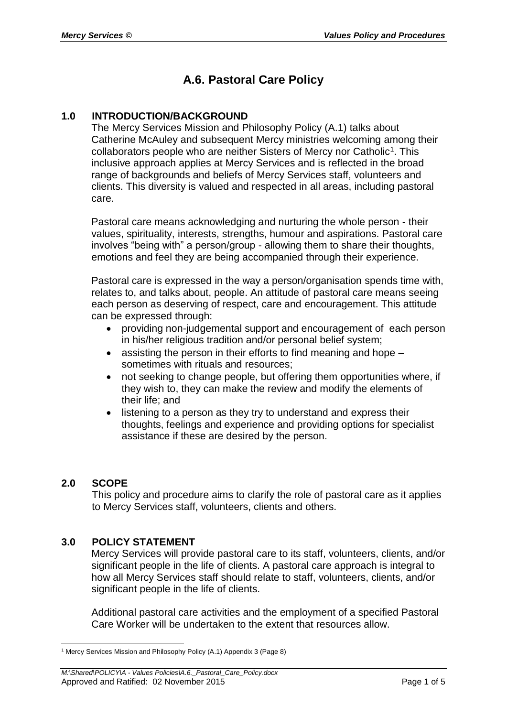# **A.6. Pastoral Care Policy**

# **1.0 INTRODUCTION/BACKGROUND**

The Mercy Services Mission and Philosophy Policy (A.1) talks about Catherine McAuley and subsequent Mercy ministries welcoming among their collaborators people who are neither Sisters of Mercy nor Catholic<sup>1</sup>. This inclusive approach applies at Mercy Services and is reflected in the broad range of backgrounds and beliefs of Mercy Services staff, volunteers and clients. This diversity is valued and respected in all areas, including pastoral care.

Pastoral care means acknowledging and nurturing the whole person - their values, spirituality, interests, strengths, humour and aspirations. Pastoral care involves "being with" a person/group - allowing them to share their thoughts, emotions and feel they are being accompanied through their experience.

Pastoral care is expressed in the way a person/organisation spends time with, relates to, and talks about, people. An attitude of pastoral care means seeing each person as deserving of respect, care and encouragement. This attitude can be expressed through:

- providing non-judgemental support and encouragement of each person in his/her religious tradition and/or personal belief system;
- assisting the person in their efforts to find meaning and hope sometimes with rituals and resources;
- not seeking to change people, but offering them opportunities where, if they wish to, they can make the review and modify the elements of their life; and
- listening to a person as they try to understand and express their thoughts, feelings and experience and providing options for specialist assistance if these are desired by the person.

#### **2.0 SCOPE**

This policy and procedure aims to clarify the role of pastoral care as it applies to Mercy Services staff, volunteers, clients and others.

#### **3.0 POLICY STATEMENT**

Mercy Services will provide pastoral care to its staff, volunteers, clients, and/or significant people in the life of clients. A pastoral care approach is integral to how all Mercy Services staff should relate to staff, volunteers, clients, and/or significant people in the life of clients.

Additional pastoral care activities and the employment of a specified Pastoral Care Worker will be undertaken to the extent that resources allow.

<sup>&</sup>lt;u>.</u> <sup>1</sup> Mercy Services Mission and Philosophy Policy (A.1) Appendix 3 (Page 8)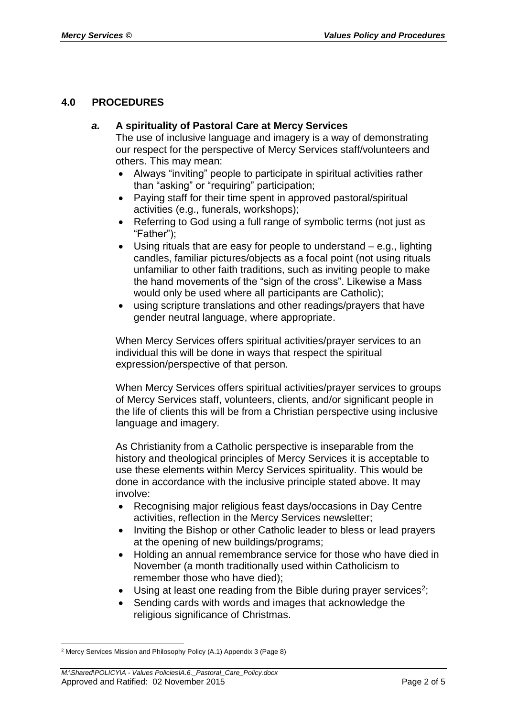## **4.0 PROCEDURES**

#### *a.* **A spirituality of Pastoral Care at Mercy Services**

The use of inclusive language and imagery is a way of demonstrating our respect for the perspective of Mercy Services staff/volunteers and others. This may mean:

- Always "inviting" people to participate in spiritual activities rather than "asking" or "requiring" participation;
- Paying staff for their time spent in approved pastoral/spiritual activities (e.g., funerals, workshops);
- Referring to God using a full range of symbolic terms (not just as "Father");
- Using rituals that are easy for people to understand e.g., lighting candles, familiar pictures/objects as a focal point (not using rituals unfamiliar to other faith traditions, such as inviting people to make the hand movements of the "sign of the cross". Likewise a Mass would only be used where all participants are Catholic);
- using scripture translations and other readings/prayers that have gender neutral language, where appropriate.

When Mercy Services offers spiritual activities/prayer services to an individual this will be done in ways that respect the spiritual expression/perspective of that person.

When Mercy Services offers spiritual activities/prayer services to groups of Mercy Services staff, volunteers, clients, and/or significant people in the life of clients this will be from a Christian perspective using inclusive language and imagery.

As Christianity from a Catholic perspective is inseparable from the history and theological principles of Mercy Services it is acceptable to use these elements within Mercy Services spirituality. This would be done in accordance with the inclusive principle stated above. It may involve:

- Recognising major religious feast days/occasions in Day Centre activities, reflection in the Mercy Services newsletter;
- Inviting the Bishop or other Catholic leader to bless or lead prayers at the opening of new buildings/programs;
- Holding an annual remembrance service for those who have died in November (a month traditionally used within Catholicism to remember those who have died);
- Using at least one reading from the Bible during prayer services<sup>2</sup>;
- Sending cards with words and images that acknowledge the religious significance of Christmas.

<u>.</u>

<sup>&</sup>lt;sup>2</sup> Mercy Services Mission and Philosophy Policy (A.1) Appendix 3 (Page 8)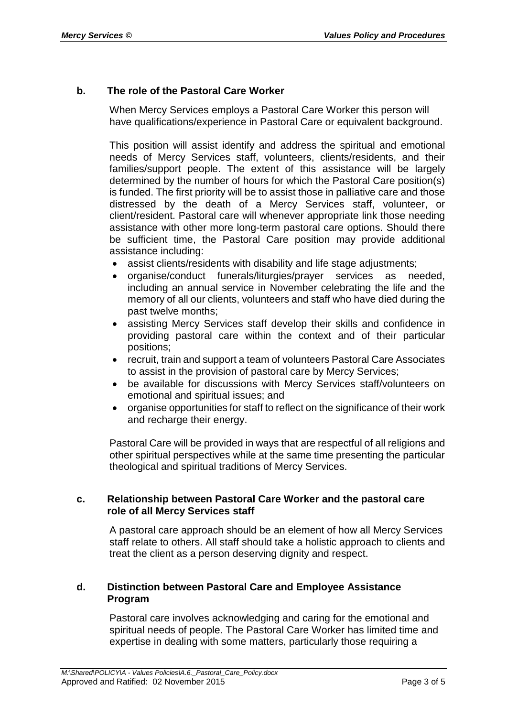#### **b. The role of the Pastoral Care Worker**

When Mercy Services employs a Pastoral Care Worker this person will have qualifications/experience in Pastoral Care or equivalent background.

This position will assist identify and address the spiritual and emotional needs of Mercy Services staff, volunteers, clients/residents, and their families/support people. The extent of this assistance will be largely determined by the number of hours for which the Pastoral Care position(s) is funded. The first priority will be to assist those in palliative care and those distressed by the death of a Mercy Services staff, volunteer, or client/resident. Pastoral care will whenever appropriate link those needing assistance with other more long-term pastoral care options. Should there be sufficient time, the Pastoral Care position may provide additional assistance including:

- assist clients/residents with disability and life stage adjustments;
- organise/conduct funerals/liturgies/prayer services as needed, including an annual service in November celebrating the life and the memory of all our clients, volunteers and staff who have died during the past twelve months;
- assisting Mercy Services staff develop their skills and confidence in providing pastoral care within the context and of their particular positions;
- recruit, train and support a team of volunteers Pastoral Care Associates to assist in the provision of pastoral care by Mercy Services;
- be available for discussions with Mercy Services staff/volunteers on emotional and spiritual issues; and
- organise opportunities for staff to reflect on the significance of their work and recharge their energy.

Pastoral Care will be provided in ways that are respectful of all religions and other spiritual perspectives while at the same time presenting the particular theological and spiritual traditions of Mercy Services.

#### **c. Relationship between Pastoral Care Worker and the pastoral care role of all Mercy Services staff**

A pastoral care approach should be an element of how all Mercy Services staff relate to others. All staff should take a holistic approach to clients and treat the client as a person deserving dignity and respect.

#### **d. Distinction between Pastoral Care and Employee Assistance Program**

Pastoral care involves acknowledging and caring for the emotional and spiritual needs of people. The Pastoral Care Worker has limited time and expertise in dealing with some matters, particularly those requiring a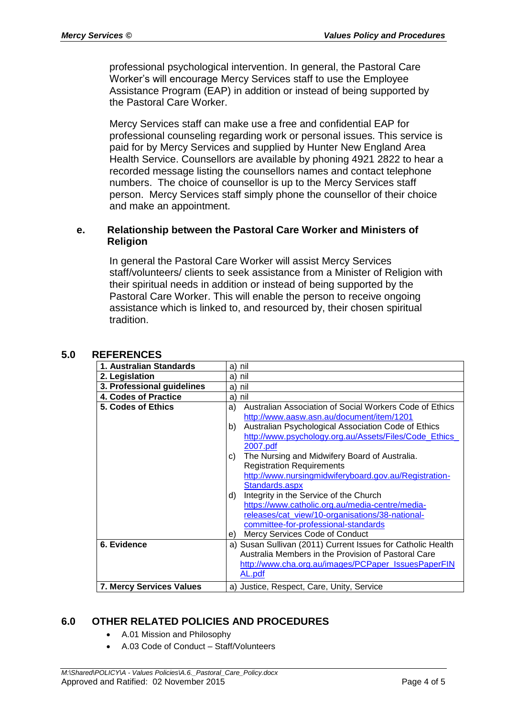professional psychological intervention. In general, the Pastoral Care Worker's will encourage Mercy Services staff to use the Employee Assistance Program (EAP) in addition or instead of being supported by the Pastoral Care Worker.

Mercy Services staff can make use a free and confidential EAP for professional counseling regarding work or personal issues. This service is paid for by Mercy Services and supplied by Hunter New England Area Health Service. Counsellors are available by phoning 4921 2822 to hear a recorded message listing the counsellors names and contact telephone numbers. The choice of counsellor is up to the Mercy Services staff person. Mercy Services staff simply phone the counsellor of their choice and make an appointment.

#### **e. Relationship between the Pastoral Care Worker and Ministers of Religion**

In general the Pastoral Care Worker will assist Mercy Services staff/volunteers/ clients to seek assistance from a Minister of Religion with their spiritual needs in addition or instead of being supported by the Pastoral Care Worker. This will enable the person to receive ongoing assistance which is linked to, and resourced by, their chosen spiritual tradition.

| 1. Australian Standards    | nil<br>a)                                                     |  |
|----------------------------|---------------------------------------------------------------|--|
| 2. Legislation             | nil<br>a)                                                     |  |
| 3. Professional guidelines | a)<br>nil                                                     |  |
| 4. Codes of Practice       | a) nil                                                        |  |
| 5. Codes of Ethics         | Australian Association of Social Workers Code of Ethics<br>a) |  |
|                            | http://www.aasw.asn.au/document/item/1201                     |  |
|                            | Australian Psychological Association Code of Ethics<br>b)     |  |
|                            | http://www.psychology.org.au/Assets/Files/Code_Ethics_        |  |
|                            | 2007.pdf                                                      |  |
|                            | The Nursing and Midwifery Board of Australia.<br>C)           |  |
|                            | <b>Registration Requirements</b>                              |  |
|                            | http://www.nursingmidwiferyboard.gov.au/Registration-         |  |
|                            | Standards.aspx                                                |  |
|                            | Integrity in the Service of the Church<br>d)                  |  |
|                            | https://www.catholic.org.au/media-centre/media-               |  |
|                            | releases/cat_view/10-organisations/38-national-               |  |
|                            | committee-for-professional-standards                          |  |
|                            | Mercy Services Code of Conduct<br>e)                          |  |
| 6. Evidence                | a) Susan Sullivan (2011) Current Issues for Catholic Health   |  |
|                            | Australia Members in the Provision of Pastoral Care           |  |
|                            | http://www.cha.org.au/images/PCPaper_IssuesPaperFIN           |  |
|                            | AL.pdf                                                        |  |
| 7. Mercy Services Values   | Justice, Respect, Care, Unity, Service<br>a)                  |  |

# **5.0 REFERENCES**

# **6.0 OTHER RELATED POLICIES AND PROCEDURES**

- A.01 Mission and Philosophy
- A.03 Code of Conduct Staff/Volunteers